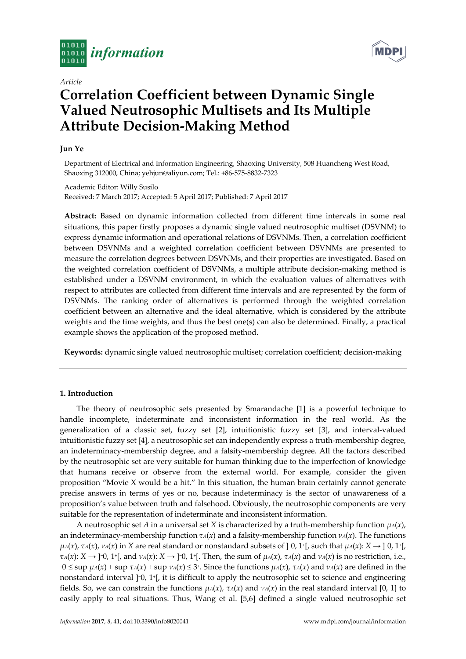

*Article*

# **Correlation Coefficient between Dynamic Single Valued Neutrosophic Multisets and Its Multiple Attribute Decision-Making Method**

# **Jun Ye**

Department of Electrical and Information Engineering, Shaoxing University, 508 Huancheng West Road, Shaoxing 312000, China; yehjun@aliyun.com; Tel.: +86-575-8832-7323

Academic Editor: Willy Susilo Received: 7 March 2017; Accepted: 5 April 2017; Published: 7 April 2017

**Abstract:** Based on dynamic information collected from different time intervals in some real situations, this paper firstly proposes a dynamic single valued neutrosophic multiset (DSVNM) to express dynamic information and operational relations of DSVNMs. Then, a correlation coefficient between DSVNMs and a weighted correlation coefficient between DSVNMs are presented to measure the correlation degrees between DSVNMs, and their properties are investigated. Based on the weighted correlation coefficient of DSVNMs, a multiple attribute decision-making method is established under a DSVNM environment, in which the evaluation values of alternatives with respect to attributes are collected from different time intervals and are represented by the form of DSVNMs. The ranking order of alternatives is performed through the weighted correlation coefficient between an alternative and the ideal alternative, which is considered by the attribute weights and the time weights, and thus the best one(s) can also be determined. Finally, a practical example shows the application of the proposed method.

**Keywords:** dynamic single valued neutrosophic multiset; correlation coefficient; decision-making

# **1. Introduction**

The theory of neutrosophic sets presented by Smarandache [1] is a powerful technique to handle incomplete, indeterminate and inconsistent information in the real world. As the generalization of a classic set, fuzzy set [2], intuitionistic fuzzy set [3], and interval-valued intuitionistic fuzzy set [4], a neutrosophic set can independently express a truth-membership degree, an indeterminacy-membership degree, and a falsity-membership degree. All the factors described by the neutrosophic set are very suitable for human thinking due to the imperfection of knowledge that humans receive or observe from the external world. For example, consider the given proposition "Movie X would be a hit." In this situation, the human brain certainly cannot generate precise answers in terms of yes or no, because indeterminacy is the sector of unawareness of a proposition's value between truth and falsehood. Obviously, the neutrosophic components are very suitable for the representation of indeterminate and inconsistent information.

A neutrosophic set *A* in a universal set *X* is characterized by a truth-membership function *μA*(*x*), an indeterminacy-membership function *τA*(*x*) and a falsity-membership function *νA*(*x*). The functions *μA*(*x*), *τA*(*x*), *νA*(*x*) in *X* are real standard or nonstandard subsets of ]<sup>-0</sup>, 1<sup>+</sup>[, such that *μA*(*x*): *X* → ]<sup>-</sup>0, 1<sup>+</sup>[,  $\tau_A(x): X \to ]0, 1^+[$ , and  $\nu_A(x): X \to ]0, 1^+[$ . Then, the sum of  $\mu_A(x)$ ,  $\tau_A(x)$  and  $\nu_A(x)$  is no restriction, i.e.,  $-0 \le \sup \mu_A(x) + \sup \tau_A(x) + \sup \nu_A(x) \le 3^*$ . Since the functions  $\mu_A(x)$ ,  $\tau_A(x)$  and  $\nu_A(x)$  are defined in the nonstandard interval ]−0, 1<sup>+</sup> [, it is difficult to apply the neutrosophic set to science and engineering fields. So, we can constrain the functions  $\mu_A(x)$ ,  $\tau_A(x)$  and  $\nu_A(x)$  in the real standard interval [0, 1] to easily apply to real situations. Thus, Wang et al. [5,6] defined a single valued neutrosophic set

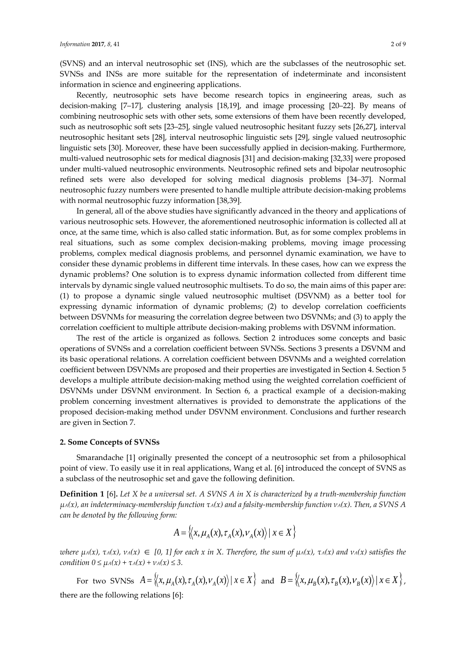(SVNS) and an interval neutrosophic set (INS), which are the subclasses of the neutrosophic set. SVNSs and INSs are more suitable for the representation of indeterminate and inconsistent information in science and engineering applications.

Recently, neutrosophic sets have become research topics in engineering areas, such as decision-making [7–17], clustering analysis [18,19], and image processing [20–22]. By means of combining neutrosophic sets with other sets, some extensions of them have been recently developed, such as neutrosophic soft sets [23–25], single valued neutrosophic hesitant fuzzy sets [26,27], interval neutrosophic hesitant sets [28], interval neutrosophic linguistic sets [29], single valued neutrosophic linguistic sets [30]. Moreover, these have been successfully applied in decision-making. Furthermore, multi-valued neutrosophic sets for medical diagnosis [31] and decision-making [32,33] were proposed under multi-valued neutrosophic environments. Neutrosophic refined sets and bipolar neutrosophic refined sets were also developed for solving medical diagnosis problems [34–37]. Normal neutrosophic fuzzy numbers were presented to handle multiple attribute decision-making problems with normal neutrosophic fuzzy information [38,39].

In general, all of the above studies have significantly advanced in the theory and applications of various neutrosophic sets. However, the aforementioned neutrosophic information is collected all at once, at the same time, which is also called static information. But, as for some complex problems in real situations, such as some complex decision-making problems, moving image processing problems, complex medical diagnosis problems, and personnel dynamic examination, we have to consider these dynamic problems in different time intervals. In these cases, how can we express the dynamic problems? One solution is to express dynamic information collected from different time intervals by dynamic single valued neutrosophic multisets. To do so, the main aims of this paper are: (1) to propose a dynamic single valued neutrosophic multiset (DSVNM) as a better tool for expressing dynamic information of dynamic problems; (2) to develop correlation coefficients between DSVNMs for measuring the correlation degree between two DSVNMs; and (3) to apply the correlation coefficient to multiple attribute decision-making problems with DSVNM information.

The rest of the article is organized as follows. Section 2 introduces some concepts and basic operations of SVNSs and a correlation coefficient between SVNSs. Sections 3 presents a DSVNM and its basic operational relations. A correlation coefficient between DSVNMs and a weighted correlation coefficient between DSVNMs are proposed and their properties are investigated in Section 4. Section 5 develops a multiple attribute decision-making method using the weighted correlation coefficient of DSVNMs under DSVNM environment. In Section 6, a practical example of a decision-making problem concerning investment alternatives is provided to demonstrate the applications of the proposed decision-making method under DSVNM environment. Conclusions and further research are given in Section 7.

## **2. Some Concepts of SVNSs**

Smarandache [1] originally presented the concept of a neutrosophic set from a philosophical point of view. To easily use it in real applications, Wang et al. [6] introduced the concept of SVNS as a subclass of the neutrosophic set and gave the following definition.

**Definition 1** [6]**.** *Let X be a universal set. A SVNS A in X is characterized by a truth-membership function μA(x), an indeterminacy-membership function τA(x) and a falsity-membership function νA(x). Then, a SVNS A can be denoted by the following form:*

$$
A = \left\langle \left\langle x, \mu_A(x), \tau_A(x), \nu_A(x) \right\rangle \middle| \ x \in X \right\rangle
$$

where  $\mu_A(x)$ ,  $\tau_A(x)$ ,  $\nu_A(x) \in [0, 1]$  for each x in X. Therefore, the sum of  $\mu_A(x)$ ,  $\tau_A(x)$  and  $\nu_A(x)$  satisfies the *condition*  $0 \leq \mu_A(x) + \tau_A(x) + \nu_A(x) \leq 3$ .

For two SVNSs  $A = \langle x, \mu_A(x), \tau_A(x), \nu_A(x) \rangle | x \in X \rangle$  and  $B = \langle x, \mu_B(x), \tau_B(x), \nu_B(x) \rangle | x \in X \rangle$ , there are the following relations [6]: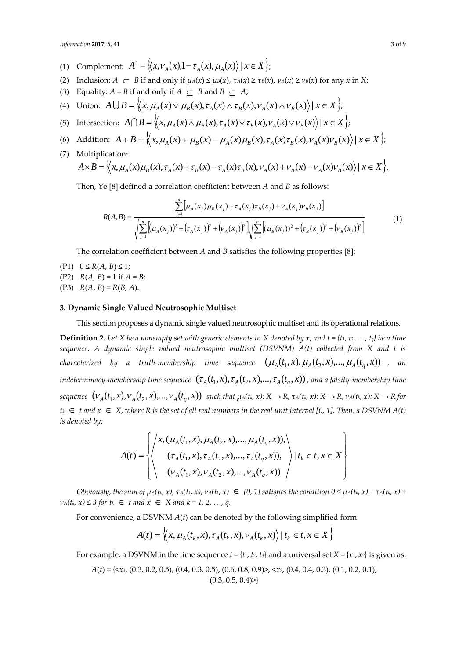*Information* **2017**, *8*, 41 3 of 9

- (1) Complement:  $A^c = \langle x, v_A(x), 1 \tau_A(x), \mu_A(x) \rangle \mid x \in X \rangle$ ;
- (2) Inclusion:  $A \subseteq B$  if and only if  $\mu_A(x) \le \mu_B(x)$ ,  $\tau_A(x) \ge \tau_B(x)$ ,  $\nu_A(x) \ge \nu_B(x)$  for any x in X;
- (3) Equality:  $A = B$  if and only if  $A \subseteq B$  and  $B \subseteq A$ ;
- (4) Union:  $A \cup B = \langle x, \mu_A(x) \lor \mu_B(x), \tau_A(x) \land \tau_B(x), \nu_A(x) \land \nu_B(x) \rangle | x \in X \rangle;$
- (5) Intersection:  $A \cap B = \langle x, \mu_A(x) \land \mu_B(x), \tau_A(x) \lor \tau_B(x), \nu_A(x) \lor \nu_B(x) \rangle \mid x \in X \rangle;$
- (6) Addition:  $A + B = \langle x, \mu_A(x) + \mu_B(x) \mu_A(x)\mu_B(x), \tau_A(x)\tau_B(x), \nu_A(x)\nu_B(x) \rangle \mid x \in X \rangle;$
- (7) Multiplication:  $A\times B=\langle x,\mu_A(x)\mu_B(x),\tau_A(x)+\tau_B(x)-\tau_A(x)\tau_B(x),\nu_A(x)+\nu_B(x)-\nu_A(x)\nu_B(x)\rangle\,|\,x\in X\rangle.$

Then, Ye [8] defined a correlation coefficient between *A* and *B* as follows:

$$
R(A,B) = \frac{\sum_{j=1}^{n} \left[ \mu_A(x_j) \mu_B(x_j) + \tau_A(x_j) \tau_B(x_j) + \nu_A(x_j) \nu_B(x_j) \right]}{\sqrt{\sum_{j=1}^{n} \left[ (\mu_A(x_j))^2 + (\tau_A(x_j))^2 + (\nu_A(x_j))^2 \right] \sqrt{\sum_{j=1}^{n} \left[ (\mu_B(x_j))^2 + (\tau_B(x_j))^2 + (\nu_B(x_j))^2 \right]}}} \tag{1}
$$

The correlation coefficient between *A* and *B* satisfies the following properties [8]:

- $(P1)$  0 ≤  $R(A, B)$  ≤ 1;
- (P2)  $R(A, B) = 1$  if  $A = B$ ;
- (P3)  $R(A, B) = R(B, A)$ .

# **3. Dynamic Single Valued Neutrosophic Multiset**

This section proposes a dynamic single valued neutrosophic multiset and its operational relations.

**Definition 2.** Let X be a nonempty set with generic elements in X denoted by x, and  $t = \{t_1, t_2, ..., t_q\}$  be a time *sequence. A dynamic single valued neutrosophic multiset (DSVNM) A(t) collected from X and t is characterized by a truth-membership time sequence*  $(\mu_A(t_1, x), \mu_A(t_2, x), ..., \mu_A(t_q, x))$ *, an* indeterminacy-membership time sequence  $(\tau_A(t_1,x),\tau_A(t_2,x),...,\tau_A(t_q,x))$  , and a falsity-membership time sequence  $(V_A(t_1, x), V_A(t_2, x), ..., V_A(t_q, x))$  such that  $\mu_A(t_k, x): X \to R$ ,  $\tau_A(t_k, x): X \to R$ ,  $\nu_A(t_k, x): X \to R$  for  $t_k \in t$  and  $x \in X$ , where R is the set of all real numbers in the real unit interval [0, 1]. Then, a DSVNM A(t) *is denoted by:*

$$
A(t) = \left\{ \left\langle \begin{array}{l} x, (\mu_A(t_1, x), \mu_A(t_2, x), ..., \mu_A(t_q, x)), \\ (r_A(t_1, x), r_A(t_2, x), ..., r_A(t_q, x)), \\ (v_A(t_1, x), v_A(t_2, x), ..., v_A(t_q, x)) \end{array} \right\rangle | t_k \in t, x \in X \right\}
$$

Obviously, the sum of  $\mu_A(t_k, x)$ ,  $\tau_A(t_k, x)$ ,  $\nu_A(t_k, x) \in [0, 1]$  satisfies the condition  $0 \leq \mu_A(t_k, x) + \tau_A(t_k, x) + \tau_A(t_k, x)$  $v_A(t_k, x) \leq 3$  for  $t_k \in t$  and  $x \in X$  and  $k = 1, 2, ..., q$ .

For convenience, a DSVNM *A*(*t*) can be denoted by the following simplified form:

$$
A(t) = \left\langle \left\langle x, \mu_A(t_k, x), \tau_A(t_k, x), \nu_A(t_k, x) \right\rangle \middle| t_k \in t, x \in X \right\rangle
$$

For example, a DSVNM in the time sequence  $t = \{t_1, t_2, t_3\}$  and a universal set  $X = \{x_1, x_2\}$  is given as:

$$
A(t) = \{ \langle x_1, (0.3, 0.2, 0.5), (0.4, 0.3, 0.5), (0.6, 0.8, 0.9) \rangle, \langle x_2, (0.4, 0.4, 0.3), (0.1, 0.2, 0.1), (0.3, 0.5, 0.4) \rangle \}
$$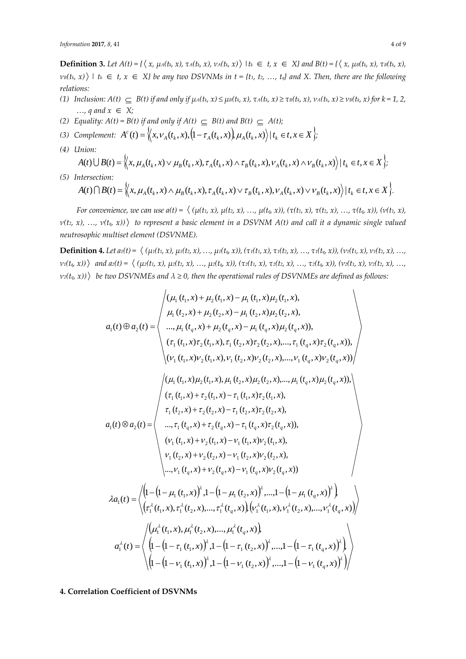**Definition 3.** Let  $A(t) = \{ \langle x, \mu_A(t_k, x), \tau_A(t_k, x), \nu_A(t_k, x) \rangle \mid t_k \in t, x \in X \}$  and  $B(t) = \{ \langle x, \mu_B(t_k, x), \tau_B(t_k, x), \nu_A(t_k, x), \nu_A(t_k, x) \rangle \mid t_k \in t, x \in X \}$  $\nu$ <sup>*B*</sup>(*t*<sub>*k*</sub>, *x*))  $\vert$  *t*<sub>k</sub>  $\in$  *t*, *x*  $\in$  *X} be any two DSVNMs in <i>t* = {*t*<sub>1</sub>, *t*<sub>2</sub>, …, *t*<sub>*q*</sub>} and X. Then, there are the following *relations:*

- (1) Inclusion:  $A(t) \subseteq B(t)$  if and only if  $\mu_A(t_k, x) \leq \mu_B(t_k, x)$ ,  $\tau_A(t_k, x) \geq \tau_B(t_k, x)$ ,  $\nu_A(t_k, x) \geq \nu_B(t_k, x)$  for  $k = 1, 2, \ldots$ *…, q* and  $x$  ∈  $X$ ;
- (2) *Equality:*  $A(t) = B(t)$  *if and only if*  $A(t) \subseteq B(t)$  *and*  $B(t) \subseteq A(t)$ ;
- (3) Complement:  $A^{c}(t) = \langle x, v_{A}(t_{k}, x), (1 \tau_{A}(t_{k}, x)), \mu_{A}(t_{k}, x) \rangle | t_{k} \in t, x \in X \rangle$ ;
- *(4) Union:*

$$
A(t) \bigcup B(t) = \Big\langle \Big\langle x, \mu_A(t_k, x) \vee \mu_B(t_k, x), \tau_A(t_k, x) \wedge \tau_B(t_k, x), \nu_A(t_k, x) \wedge \nu_B(t_k, x) \Big\rangle \Big| t_k \in t, x \in X \Big\};
$$

*(5) Intersection:* 

$$
A(t)\bigcap B(t)=\Big\langle\big\langle x,\mu_A(t_k,x)\wedge\mu_B(t_k,x),\tau_A(t_k,x)\vee\tau_B(t_k,x),\nu_A(t_k,x)\vee\nu_B(t_k,x)\big\rangle\big|t_k\in t,x\in X\Big\rangle.
$$

For convenience, we can use  $a(t) = \langle (\mu(t_1, x), \mu(t_2, x), ..., \mu(t_q, x)), (\tau(t_1, x), \tau(t_2, x), ..., \tau(t_q, x)), (\nu(t_1, x), \tau(t_2, x), ..., \tau(t_q, x)) \rangle$ *ν(t2, x), …, ν(tq, x)) to represent a basic element in a DSVNM A(t) and call it a dynamic single valued neutrosophic multiset element (DSVNME).*

**Definition 4.** Let  $a_1(t) = \langle (\mu_1(t_1, x), \mu_1(t_2, x), \dots, \mu_1(t_q, x)), (\tau_1(t_1, x), \tau_1(t_2, x), \dots, \tau_1(t_q, x)), (\nu_1(t_1, x), \nu_1(t_2, x), \dots, \nu_q(t_q, x)) \rangle$  $v_1(t_q, x)$ ) and  $a_2(t) = \langle (\mu_2(t_1, x), \mu_2(t_2, x), ..., \mu_2(t_q, x)), (\tau_2(t_1, x), \tau_2(t_2, x), ..., \tau_2(t_q, x)), (v_2(t_1, x), v_2(t_2, x), ..., \tau_q(t_q, x)) \rangle$  $\langle v_2(t_q, x) \rangle$  be two DSVNMEs and  $\lambda \geq 0$ , then the operational rules of DSVNMEs are defined as follows:

$$
a_{1}(t) \otimes a_{2}(t) = \begin{pmatrix} (\mu_{1}(t_{1},x) + \mu_{2}(t_{1},x) - \mu_{1}(t_{1},x) \mu_{2}(t_{1},x), \\ \mu_{1}(t_{2},x) + \mu_{2}(t_{2},x) - \mu_{1}(t_{2},x) \mu_{2}(t_{2},x), \\ ..., \mu_{1}(t_{q},x) + \mu_{2}(t_{q},x) - \mu_{1}(t_{q},x) \mu_{2}(t_{q},x)), \\ (\tau_{1}(t_{1},x) \tau_{2}(t_{1},x), \tau_{1}(t_{2},x) \tau_{2}(t_{2},x), ..., \tau_{1}(t_{q},x) \tau_{2}(t_{q},x)), \\ (\nu_{1}(t_{1},x) \nu_{2}(t_{1},x), \nu_{1}(t_{2},x) \nu_{2}(t_{2},x), ..., \nu_{1}(t_{q},x) \nu_{2}(t_{q},x)), \\ (\nu_{1}(t_{1},x) \nu_{2}(t_{1},x), \mu_{1}(t_{2},x) \mu_{2}(t_{2},x), ..., \mu_{1}(t_{q},x) \mu_{2}(t_{q},x)), \\ (\tau_{1}(t_{1},x) + \tau_{2}(t_{1},x) - \tau_{1}(t_{1},x) \tau_{2}(t_{1},x), \\ \tau_{1}(t_{2},x) + \tau_{2}(t_{2},x) - \tau_{1}(t_{2},x) \tau_{2}(t_{2},x), \\ ..., \tau_{1}(t_{q},x) + \tau_{2}(t_{q},x) - \tau_{1}(t_{q},x) \tau_{2}(t_{q},x)), \\ (\nu_{1}(t_{1},x) + \nu_{2}(t_{1},x) - \nu_{1}(t_{1},x) \nu_{2}(t_{1},x), \\ \nu_{1}(t_{2},x) + \nu_{2}(t_{2},x) - \nu_{1}(t_{2},x) \nu_{2}(t_{2},x), \\ ..., \nu_{1}(t_{q},x) + \nu_{2}(t_{q},x) - \nu_{1}(t_{q},x) \nu_{2}(t_{q},x)) \end{pmatrix}
$$
  

$$
\lambda a_{1}(t) = \begin{pmatrix} (\mu - (1 - \mu_{1}(t_{1},x))^{2}, 1 - (1 - \mu_{1}(t_{2},x))^{2}, ..., 1 - (1 - \mu_{1}(t_{q},x))^{2}, \\ (\tau_{1}^{2}(t_{1},x), \tau_{
$$

# **4. Correlation Coefficient of DSVNMs**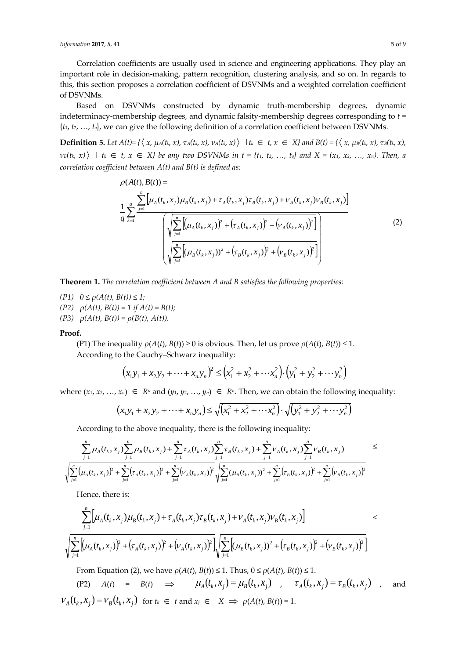Correlation coefficients are usually used in science and engineering applications. They play an important role in decision-making, pattern recognition, clustering analysis, and so on. In regards to this, this section proposes a correlation coefficient of DSVNMs and a weighted correlation coefficient of DSVNMs.

Based on DSVNMs constructed by dynamic truth-membership degrees, dynamic indeterminacy-membership degrees, and dynamic falsity-membership degrees corresponding to *t* =  $\{t_1, t_2, \ldots, t_q\}$ , we can give the following definition of a correlation coefficient between DSVNMs.

**Definition 5.** Let  $A(t) = \{ \langle x, \mu_A(t_k, x), \tau_A(t_k, x), \nu_A(t_k, x) \rangle \mid t_k \in t, x \in X \}$  and  $B(t) = \{ \langle x, \mu_B(t_k, x), \tau_B(t_k, x), \nu_A(t_k, x), \nu_A(t_k, x) \rangle \mid t_k \in t, x \in X \}$  $v_B(t_k, x)$  |  $t_k \in t, x \in X$  be any two DSVNMs in  $t = \{t_1, t_2, ..., t_q\}$  and  $X = (x_1, x_2, ..., x_n)$ . Then, a *correlation coefficient between A(t) and B(t) is defined as:*

$$
\rho(A(t), B(t)) = \frac{1}{q} \sum_{k=1}^{n} \left[ \mu_A(t_k, x_j) \mu_B(t_k, x_j) + \tau_A(t_k, x_j) \tau_B(t_k, x_j) + \nu_A(t_k, x_j) \nu_B(t_k, x_j) \right]
$$
  

$$
\left( \sqrt{\sum_{j=1}^{n} \left[ (\mu_A(t_k, x_j))^2 + (\tau_A(t_k, x_j))^2 + (\nu_A(t_k, x_j))^2 \right]} \right)
$$
  

$$
\left( \sqrt{\sum_{j=1}^{n} \left[ (\mu_B(t_k, x_j))^2 + (\tau_B(t_k, x_j))^2 + (\nu_B(t_k, x_j))^2 \right]} \right)
$$
  
(2)

**Theorem 1.** *The correlation coefficient between A and B satisfies the following properties:*

*(P1)*  $0 \le \rho(A(t), B(t)) \le 1;$  $(P2)$   $\rho(A(t), B(t)) = 1$  if  $A(t) = B(t);$  $(P3)$   $\rho(A(t), B(t)) = \rho(B(t), A(t)).$ 

#### **Proof.**

(P1) The inequality  $\rho(A(t), B(t)) \ge 0$  is obvious. Then, let us prove  $\rho(A(t), B(t)) \le 1$ . According to the Cauchy–Schwarz inequality:

$$
(x_1y_1 + x_2y_2 + \dots + x_ny_n)^2 \leq (x_1^2 + x_2^2 + \dots + x_n^2) \cdot (y_1^2 + y_2^2 + \dots + y_n^2)
$$

where  $(x_1, x_2, ..., x_n) \in R^n$  and  $(y_1, y_2, ..., y_n) \in R^n$ . Then, we can obtain the following inequality:

$$
(x_1y_1 + x_2y_2 + \dots + x_ny_n) \le \sqrt{(x_1^2 + x_2^2 + \dots + x_n^2)} \cdot \sqrt{(y_1^2 + y_2^2 + \dots + y_n^2)}
$$

According to the above inequality, there is the following inequality:

$$
\sum_{j=1}^{n} \mu_{A}(t_{k}, x_{j}) \sum_{j=1}^{n} \mu_{B}(t_{k}, x_{j}) + \sum_{j=1}^{n} \tau_{A}(t_{k}, x_{j}) \sum_{j=1}^{n} \tau_{B}(t_{k}, x_{j}) + \sum_{j=1}^{n} \nu_{A}(t_{k}, x_{j}) \sum_{j=1}^{n} \nu_{B}(t_{k}, x_{j}) \leq \sqrt{\sum_{j=1}^{n} (\mu_{A}(t_{k}, x_{j}))^{2} + \sum_{j=1}^{n} (\tau_{A}(t_{k}, x_{j}))^{2} + \sum_{j=1}^{n} (\tau_{A}(t_{k}, x_{j}))^{2} + \sum_{j=1}^{n} (\tau_{B}(t_{k}, x_{j}))^{2} + \sum_{j=1}^{n} (\nu_{B}(t_{k}, x_{j}))^{2} + \sum_{j=1}^{n} (\nu_{B}(t_{k}, x_{j}))^{2} + \sum_{j=1}^{n} (\nu_{B}(t_{k}, x_{j}))^{2} + \sum_{j=1}^{n} (\nu_{B}(t_{k}, x_{j}))^{2} + \sum_{j=1}^{n} (\nu_{B}(t_{k}, x_{j}))^{2} + \sum_{j=1}^{n} (\nu_{B}(t_{k}, x_{j}))^{2} + \sum_{j=1}^{n} (\nu_{B}(t_{k}, x_{j}))^{2} + \sum_{j=1}^{n} (\nu_{B}(t_{k}, x_{j}))^{2} + \sum_{j=1}^{n} (\nu_{B}(t_{k}, x_{j}))^{2} + \sum_{j=1}^{n} (\nu_{B}(t_{k}, x_{j}))^{2} + \sum_{j=1}^{n} (\nu_{B}(t_{k}, x_{j}))^{2} + \sum_{j=1}^{n} (\nu_{B}(t_{k}, x_{j}))^{2} + \sum_{j=1}^{n} (\nu_{B}(t_{k}, x_{j}))^{2} + \sum_{j=1}^{n} (\nu_{B}(t_{k}, x_{j}))^{2} + \sum_{j=1}^{n} (\nu_{B}(t_{k}, x_{j}))^{2} + \sum_{j=1}^{n} (\nu_{B}(t_{k}, x_{j}))^{2} + \sum_{j=1}^{n} (\nu_{B}(t_{k}, x_{j}))^{2} + \sum_{j=1}^{n} (\nu_{B}(t_{k}, x_{j}))^{2} + \sum_{j=1}^{n} (\nu_{B}(t_{k}, x_{
$$

Hence, there is:

$$
\frac{\sum_{j=1}^{n} \Big[ \mu_A(t_k, x_j) \mu_B(t_k, x_j) + \tau_A(t_k, x_j) \tau_B(t_k, x_j) + \nu_A(t_k, x_j) \nu_B(t_k, x_j) \Big] \leq
$$
\n
$$
\sqrt{\sum_{j=1}^{n} \Big[ \mu_A(t_k, x_j) \Big]^2 + \Big( \tau_A(t_k, x_j) \Big)^2 + \Big( \nu_A(t_k, x_j) \Big)^2 \Big] \sqrt{\sum_{j=1}^{n} \Big[ \mu_B(t_k, x_j) \Big)^2 + \Big( \tau_B(t_k, x_j) \Big)^2 + \Big( \nu_B(t_k, x_j) \Big)^2 \Big]}}
$$

From Equation (2), we have  $\rho(A(t), B(t)) \leq 1$ . Thus,  $0 \leq \rho(A(t), B(t)) \leq 1$ .

(P2)  $A(t) = B(t) \Rightarrow \mu_A(t_k, x_j) = \mu_B(t_k, x_j)$ ,  $\tau_A(t_k, x_j) = \tau_B(t_k, x_j)$ , and  $V_A(t_k, x_j) = V_B(t_k, x_j)$  for  $t_k \in t$  and  $x_j \in X \implies \rho(A(t), B(t)) = 1$ .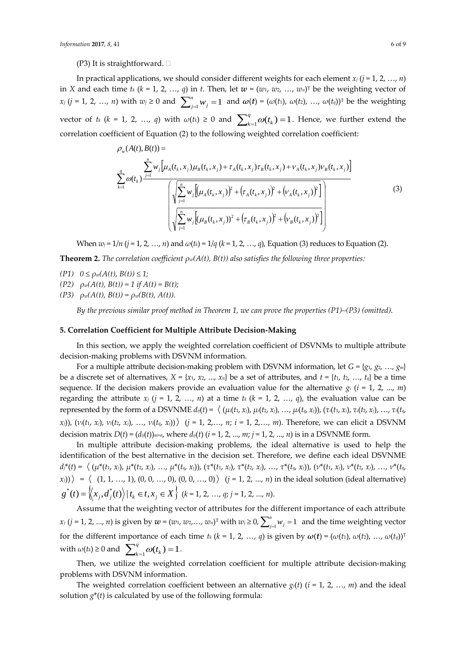In practical applications, we should consider different weights for each element  $x_i$  ( $j = 1, 2, ..., n$ ) in *X* and each time  $t_k$  ( $k = 1, 2, ..., q$ ) in  $t$ . Then, let  $w = (w_1, w_2, ..., w_n)^T$  be the weighting vector of *x*<sub>*j*</sub> (*j* = 1, 2, …, *n*) with  $w_j \ge 0$  and  $\sum_{j=1}^n w_j = 1$ *n j*<sub>*j*</sub> = 1 and *ω*(*t*) = (*ω*(*t*<sub>1</sub>), *ω*(*t*<sub>2</sub>), …, *ω*(*t*<sub>*q*</sub>))<sup>T</sup> be the weighting vector of *t<sub>k</sub>* (*k* = 1, 2, ..., *q*) with  $\omega(t_k) \ge 0$  and  $\sum_{k=1}^{q} \omega(t_k) = 1$ *q*  $\omega_{k=1}^q \omega(t_k) = 1$ . Hence, we further extend the correlation coefficient of Equation (2) to the following weighted correlation coefficient:

$$
\rho_w(A(t), B(t)) = \frac{\sum_{i=1}^n w_i [\mu_A(t_k, x_j) \mu_B(t_k, x_j) + \tau_A(t_k, x_j) \tau_B(t_k, x_j) + \nu_A(t_k, x_j) \nu_B(t_k, x_j)]}{\sqrt{\sum_{j=1}^n w_j [\mu_A(t_k, x_j) + (\tau_A(t_k, x_j) + (\nu_A(t_k, x_j) + \nu_A(t_k, x_j)) + (\nu_A(t_k, x_j) + (\nu_B(t_k, x_j)) + (\nu_B(t_k, x_j) + (\nu_B(t_k, x_j) + \nu_A(t_k, x_j)) + (\nu_B(t_k, x_j) + (\nu_B(t_k, x_j) + (\nu_B(t_k, x_j) + \nu_A(t_k, x_j)) + (\nu_B(t_k, x_j) + (\nu_B(t_k, x_j) + \nu_A(t_k, x_j)) + (\nu_B(t_k, x_j) + (\nu_B(t_k, x_j) + \nu_A(t_k, x_j)) + (\nu_B(t_k, x_j) + (\nu_B(t_k, x_j) + \nu_A(t_k, x_j)) + (\nu_B(t_k, x_j) + (\nu_B(t_k, x_j) + \nu_A(t_k, x_j)) + (\nu_B(t_k, x_j) + (\nu_B(t_k, x_j) + \nu_A(t_k, x_j)) + (\nu_B(t_k, x_j) + (\nu_A(t_k, x_j) + \nu_A(t_k, x_j)) + (\nu_B(t_k, x_j) + (\nu_A(t_k, x_j) + \nu_A(t_k, x_j)) + (\nu_B(t_k, x_j) + (\nu_A(t_k, x_j) + \nu_A(t_k, x_j)) + (\nu_B(t_k, x_j) + \nu_A(t_k, x_j)) + (\nu_B(t_k, x_j) + (\nu_A(t_k, x_j) + \nu_A(t_k, x_j)) + (\nu_B(t_k, x_j) + \nu_A(t_k, x_j)) + (\nu_A(t_k, x_j) + \nu_A(t_k, x_j)) + (\nu_A(t_k, x_j) + \nu_A(t_k, x_j)) + (\nu_B(t_k, x_j) + (\nu_A(t_k, x_j) + \nu_A(t_k, x_j)) + (\nu_A(t_k, x_j) + \nu_A(t_k, x_j)) + (\nu_A(t_k, x_j) + \nu_A(t_k, x_j)) + (\nu_A(t_k, x_j) + \nu_A(t_k, x_j)) + (\nu_A(t_k, x_j) + \nu_A(t_k, x_j)) + (\nu_A(t_k, x_j) + \nu_A(t_k, x_j)) + (\nu_A(t_k, x_j) + \nu_A(t_k, x_j)) + (\nu_A(t_k, x_j) + \nu_A(t_k, x_j)) + (\nu_A(t_k, x_j) + \nu_A(t_k, x
$$

When  $w_j = 1/n$  ( $j = 1, 2, ..., n$ ) and  $\omega(t_k) = 1/q$  ( $k = 1, 2, ..., q$ ), Equation (3) reduces to Equation (2).

**Theorem 2.** *The correlation coefficient ρw(A(t), B(t)) also satisfies the following three properties:*

- $(P1)$   $0 \leq \rho_w(A(t), B(t)) \leq 1;$
- $(P2)$   $\rho_w(A(t), B(t)) = 1$  if  $A(t) = B(t)$ ;
- $(P3)$   $\rho_w(A(t), B(t)) = \rho_w(B(t), A(t)).$

*By the previous similar proof method in Theorem 1, we can prove the properties (P1)–(P3) (omitted).*

## **5. Correlation Coefficient for Multiple Attribute Decision-Making**

In this section, we apply the weighted correlation coefficient of DSVNMs to multiple attribute decision-making problems with DSVNM information.

For a multiple attribute decision-making problem with DSVNM information, let  $G = \{g_1, g_2, ..., g_m\}$ be a discrete set of alternatives,  $X = \{x_1, x_2, ..., x_n\}$  be a set of attributes, and  $t = \{t_1, t_2, ..., t_q\}$  be a time sequence. If the decision makers provide an evaluation value for the alternative  $g_i$  ( $i = 1, 2, ..., m$ ) regarding the attribute  $x_j$  ( $j = 1, 2, ..., n$ ) at a time  $t_k$  ( $k = 1, 2, ..., q$ ), the evaluation value can be represented by the form of a DSVNME  $d_{ij}(t) = \langle (\mu_i(t_1, x_j), \mu_i(t_2, x_j), ..., \mu_i(t_q, x_j)), (\tau_i(t_1, x_j), \tau_i(t_2, x_j), ..., \tau_i(t_q, x_j)) \rangle$  $(x_j)$ ),  $(v_i(t_1, x_j), v_i(t_2, x_j), ..., v_i(t_q, x_j))$   $(j = 1, 2, ..., n; i = 1, 2, ..., m)$ . Therefore, we can elicit a DSVNM decision matrix  $D(t) = (d_{ij}(t))_{m \times n}$ , where  $d_{ij}(t)$  ( $i = 1, 2, ..., m$ ;  $j = 1, 2, ..., n$ ) is in a DSVNME form.

In multiple attribute decision-making problems, the ideal alternative is used to help the identification of the best alternative in the decision set. Therefore, we define each ideal DSVNME  $d_i^*(t) = \langle (\mu^*(t_1, x_i), \mu^*(t_2, x_i), \ldots, \mu^*(t_q, x_i)), (\tau^*(t_1, x_i), \tau^*(t_2, x_i), \ldots, \tau^*(t_q, x_i)), (\nu^*(t_1, x_i), \nu^*(t_2, x_i), \ldots, \nu^*(t_q, x_i)) \rangle$  $(x_j)$ ) =  $\langle (1, 1, ..., 1), (0, 0, ..., 0), (0, 0, ..., 0) \rangle$   $(j = 1, 2, ..., n)$  in the ideal solution (ideal alternative)  $g^*(t) = \left\langle \! \left\langle x_j, d^*_j(t) \right\rangle \right| t_k \in t, x_j \in X \right\}$  (k = 1, 2, ..., q; j = 1, 2, ..., n).

Assume that the weighting vector of attributes for the different importance of each attribute *x*<sub>*j*</sub> (*j* = 1, 2, ..., *n*) is given by  $w = (w_1, w_2, ..., w_n)^\text{T}$  with  $w_j \ge 0$ ,  $\sum_{j=1}^n w_j =$  $\int_{i=1}^{n} w_j = 1$  and the time weighting vector for the different importance of each time  $t_k$  ( $k = 1, 2, ..., q$ ) is given by  $\omega(t) = (\omega(t_1), \omega(t_2), ..., \omega(t_q))^T$ with  $\omega(t_k) \geq 0$  and  $\sum_{k=1}^{q} \omega(t_k) = 1$ *q*  $_{k=1}^{q} \omega(t_k) = 1$ .

Then, we utilize the weighted correlation coefficient for multiple attribute decision-making problems with DSVNM information.

The weighted correlation coefficient between an alternative  $g_i(t)$  ( $i = 1, 2, ..., m$ ) and the ideal solution  $g^*(t)$  is calculated by use of the following formula: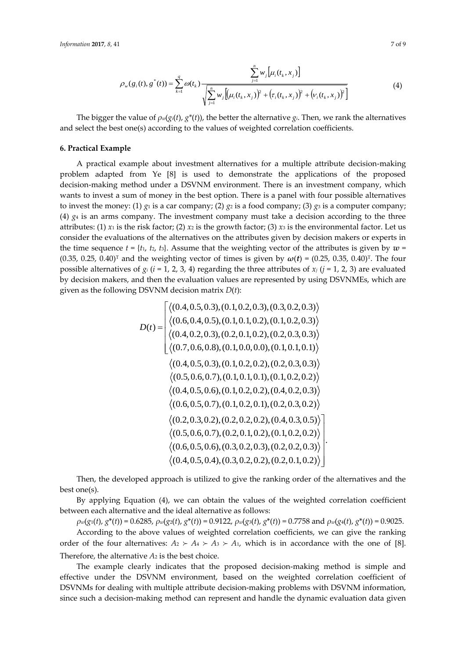$$
\rho_w(g_i(t), g^*(t)) = \sum_{k=1}^q \omega(t_k) \frac{\sum_{j=1}^n w_j [\mu_i(t_k, x_j)]}{\sqrt{\sum_{j=1}^n w_j [(\mu_i(t_k, x_j))^2 + (\tau_i(t_k, x_j))^2 + (\nu_i(t_k, x_j))^2]}}
$$
(4)

The bigger the value of  $\rho_w(g_i(t), g^*(t))$ , the better the alternative  $g_i$ . Then, we rank the alternatives and select the best one(s) according to the values of weighted correlation coefficients.

## **6. Practical Example**

A practical example about investment alternatives for a multiple attribute decision-making problem adapted from Ye [8] is used to demonstrate the applications of the proposed decision-making method under a DSVNM environment. There is an investment company, which wants to invest a sum of money in the best option. There is a panel with four possible alternatives to invest the money: (1)  $g_1$  is a car company; (2)  $g_2$  is a food company; (3)  $g_3$  is a computer company; (4)  $g_4$  is an arms company. The investment company must take a decision according to the three attributes: (1)  $x_1$  is the risk factor; (2)  $x_2$  is the growth factor; (3)  $x_3$  is the environmental factor. Let us consider the evaluations of the alternatives on the attributes given by decision makers or experts in the time sequence  $t = \{t_1, t_2, t_3\}$ . Assume that the weighting vector of the attributes is given by  $w =$ (0.35, 0.25, 0.40)<sup>T</sup> and the weighting vector of times is given by  $\omega(t) = (0.25, 0.35, 0.40)^T$ . The four possible alternatives of  $g_i$  ( $i = 1, 2, 3, 4$ ) regarding the three attributes of  $x_j$  ( $j = 1, 2, 3$ ) are evaluated by decision makers, and then the evaluation values are represented by using DSVNMEs, which are given as the following DSVNM decision matrix *D*(*t*):

$$
D(t) = \begin{cases} \langle (0.4, 0.5, 0.3), (0.1, 0.2, 0.3), (0.3, 0.2, 0.3) \rangle \\ \langle (0.6, 0.4, 0.5), (0.1, 0.1, 0.2), (0.1, 0.2, 0.3) \rangle \\ \langle (0.4, 0.2, 0.3), (0.2, 0.1, 0.2), (0.2, 0.3, 0.3) \rangle \\ \langle (0.7, 0.6, 0.8), (0.1, 0.0, 0.0), (0.1, 0.1, 0.1) \rangle \\ \langle (0.4, 0.5, 0.3), (0.1, 0.2, 0.2), (0.2, 0.3, 0.3) \rangle \\ \langle (0.5, 0.6, 0.7), (0.1, 0.1, 0.1), (0.1, 0.2, 0.2) \rangle \\ \langle (0.4, 0.5, 0.6), (0.1, 0.2, 0.2), (0.4, 0.2, 0.3) \rangle \\ \langle (0.6, 0.5, 0.7), (0.1, 0.2, 0.1), (0.2, 0.3, 0.2) \rangle \\ \langle (0.5, 0.6, 0.7), (0.2, 0.2, 0.2), (0.4, 0.3, 0.5) \rangle \\ \langle (0.5, 0.6, 0.7), (0.2, 0.1, 0.2), (0.1, 0.2, 0.2) \rangle \\ \langle (0.6, 0.5, 0.6), (0.3, 0.2, 0.3), (0.2, 0.2, 0.3) \rangle \\ \langle (0.4, 0.5, 0.4), (0.3, 0.2, 0.2), (0.2, 0.1, 0.2) \rangle \end{cases}
$$

Then, the developed approach is utilized to give the ranking order of the alternatives and the best one(s).

.

By applying Equation (4), we can obtain the values of the weighted correlation coefficient between each alternative and the ideal alternative as follows:

 $\rho_w(g_1(t), g^*(t)) = 0.6285$ ,  $\rho_w(g_2(t), g^*(t)) = 0.9122$ ,  $\rho_w(g_3(t), g^*(t)) = 0.7758$  and  $\rho_w(g_4(t), g^*(t)) = 0.9025$ . According to the above values of weighted correlation coefficients, we can give the ranking order of the four alternatives:  $A_2 \succ A_4 \succ A_3 \succ A_1$ , which is in accordance with the one of [8]. Therefore, the alternative *A*<sup>2</sup> is the best choice.

The example clearly indicates that the proposed decision-making method is simple and effective under the DSVNM environment, based on the weighted correlation coefficient of DSVNMs for dealing with multiple attribute decision-making problems with DSVNM information, since such a decision-making method can represent and handle the dynamic evaluation data given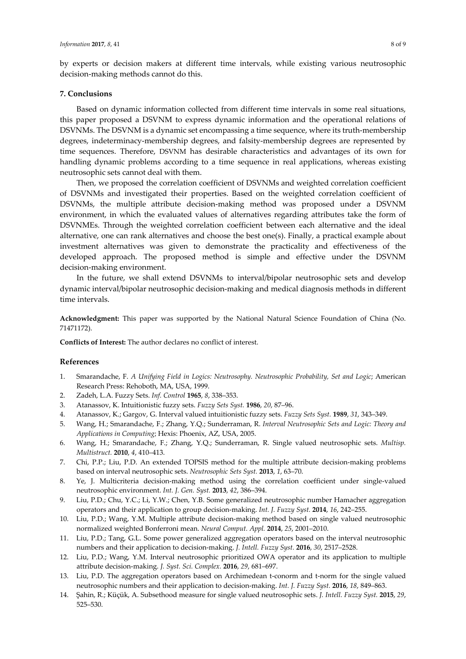## **7. Conclusions**

Based on dynamic information collected from different time intervals in some real situations, this paper proposed a DSVNM to express dynamic information and the operational relations of DSVNMs. The DSVNM is a dynamic set encompassing a time sequence, where its truth-membership degrees, indeterminacy-membership degrees, and falsity-membership degrees are represented by time sequences. Therefore, DSVNM has desirable characteristics and advantages of its own for handling dynamic problems according to a time sequence in real applications, whereas existing neutrosophic sets cannot deal with them.

Then, we proposed the correlation coefficient of DSVNMs and weighted correlation coefficient of DSVNMs and investigated their properties. Based on the weighted correlation coefficient of DSVNMs, the multiple attribute decision-making method was proposed under a DSVNM environment, in which the evaluated values of alternatives regarding attributes take the form of DSVNMEs. Through the weighted correlation coefficient between each alternative and the ideal alternative, one can rank alternatives and choose the best one(s). Finally, a practical example about investment alternatives was given to demonstrate the practicality and effectiveness of the developed approach. The proposed method is simple and effective under the DSVNM decision-making environment.

In the future, we shall extend DSVNMs to interval/bipolar neutrosophic sets and develop dynamic interval/bipolar neutrosophic decision-making and medical diagnosis methods in different time intervals.

**Acknowledgment:** This paper was supported by the National Natural Science Foundation of China (No. 71471172).

**Conflicts of Interest:** The author declares no conflict of interest.

## **References**

- 1. Smarandache, F. *A Unifying Field in Logics: Neutrosophy. Neutrosophic Probability, Set and Logic*; American Research Press: Rehoboth, MA, USA, 1999.
- 2. Zadeh, L.A. Fuzzy Sets. *Inf. Control* **1965**, *8*, 338–353.
- 3. Atanassov, K. Intuitionistic fuzzy sets. *Fuzzy Sets Syst.* **1986**, *20*, 87–96.
- 4. Atanassov, K.; Gargov, G. Interval valued intuitionistic fuzzy sets. *Fuzzy Sets Syst.* **1989**, *31*, 343–349.
- 5. Wang, H.; Smarandache, F.; Zhang, Y.Q.; Sunderraman, R. *Interval Neutrosophic Sets and Logic: Theory and Applications in Computing*; Hexis: Phoenix, AZ, USA, 2005.
- 6. Wang, H.; Smarandache, F.; Zhang, Y.Q.; Sunderraman, R. Single valued neutrosophic sets. *Multisp. Multistruct.* **2010**, *4*, 410–413.
- 7. Chi, P.P.; Liu, P.D. An extended TOPSIS method for the multiple attribute decision-making problems based on interval neutrosophic sets. *Neutrosophic Sets Syst.* **2013**, *1*, 63–70.
- 8. Ye, J. Multicriteria decision-making method using the correlation coefficient under single-valued neutrosophic environment. *Int. J. Gen. Syst.* **2013**, *42*, 386–394.
- 9. Liu, P.D.; Chu, Y.C.; Li, Y.W.; Chen, Y.B. Some generalized neutrosophic number Hamacher aggregation operators and their application to group decision-making. *Int. J. Fuzzy Syst.* **2014**, *16*, 242–255.
- 10. Liu, P.D.; Wang, Y.M. Multiple attribute decision-making method based on single valued neutrosophic normalized weighted Bonferroni mean. *Neural Comput. Appl.* **2014**, *25*, 2001–2010.
- 11. Liu, P.D.; Tang, G.L. Some power generalized aggregation operators based on the interval neutrosophic numbers and their application to decision-making. *J. Intell. Fuzzy Syst.* **2016**, *30*, 2517–2528.
- 12. Liu, P.D.; Wang, Y.M. Interval neutrosophic prioritized OWA operator and its application to multiple attribute decision-making. *J. Syst. Sci. Complex.* **2016**, *29*, 681–697.
- 13. Liu, P.D. The aggregation operators based on Archimedean t-conorm and t-norm for the single valued neutrosophic numbers and their application to decision-making. *Int. J. Fuzzy Syst.* **2016**, *18*, 849–863.
- 14. Şahin, R.; Küçük, A. Subsethood measure for single valued neutrosophic sets. *J. Intell. Fuzzy Syst.* **2015**, *29*, 525–530.